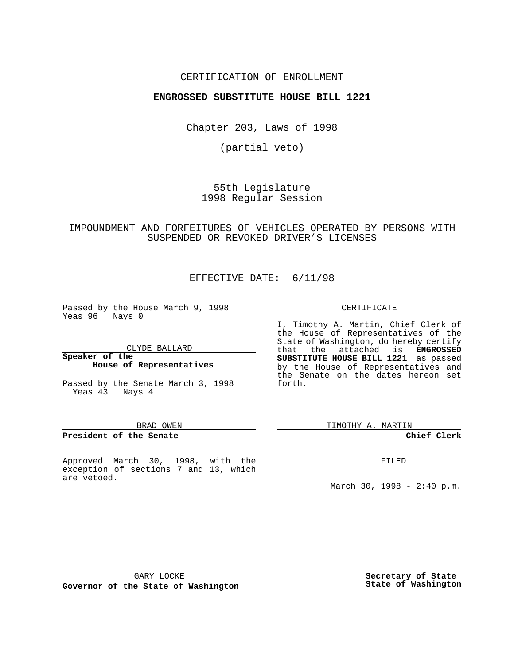## CERTIFICATION OF ENROLLMENT

## **ENGROSSED SUBSTITUTE HOUSE BILL 1221**

Chapter 203, Laws of 1998

(partial veto)

55th Legislature 1998 Regular Session

## IMPOUNDMENT AND FORFEITURES OF VEHICLES OPERATED BY PERSONS WITH SUSPENDED OR REVOKED DRIVER'S LICENSES

## EFFECTIVE DATE: 6/11/98

Passed by the House March 9, 1998 Yeas 96 Nays 0

CLYDE BALLARD

**Speaker of the House of Representatives**

Passed by the Senate March 3, 1998 Yeas 43 Nays 4

#### BRAD OWEN

## **President of the Senate**

Approved March 30, 1998, with the exception of sections 7 and 13, which are vetoed.

#### CERTIFICATE

I, Timothy A. Martin, Chief Clerk of the House of Representatives of the State of Washington, do hereby certify that the attached is **ENGROSSED SUBSTITUTE HOUSE BILL 1221** as passed by the House of Representatives and the Senate on the dates hereon set forth.

TIMOTHY A. MARTIN

## **Chief Clerk**

FILED

March 30, 1998 - 2:40 p.m.

GARY LOCKE

**Governor of the State of Washington**

**Secretary of State State of Washington**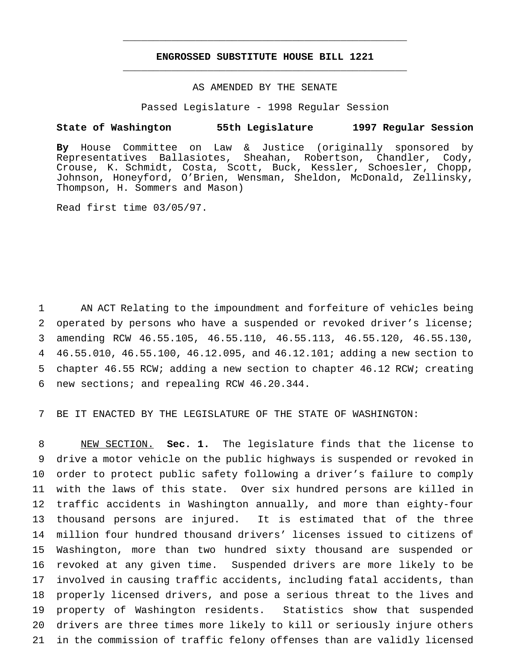## **ENGROSSED SUBSTITUTE HOUSE BILL 1221** \_\_\_\_\_\_\_\_\_\_\_\_\_\_\_\_\_\_\_\_\_\_\_\_\_\_\_\_\_\_\_\_\_\_\_\_\_\_\_\_\_\_\_\_\_\_\_

\_\_\_\_\_\_\_\_\_\_\_\_\_\_\_\_\_\_\_\_\_\_\_\_\_\_\_\_\_\_\_\_\_\_\_\_\_\_\_\_\_\_\_\_\_\_\_

## AS AMENDED BY THE SENATE

Passed Legislature - 1998 Regular Session

### **State of Washington 55th Legislature 1997 Regular Session**

**By** House Committee on Law & Justice (originally sponsored by Representatives Ballasiotes, Sheahan, Robertson, Chandler, Cody, Crouse, K. Schmidt, Costa, Scott, Buck, Kessler, Schoesler, Chopp, Johnson, Honeyford, O'Brien, Wensman, Sheldon, McDonald, Zellinsky, Thompson, H. Sommers and Mason)

Read first time 03/05/97.

 AN ACT Relating to the impoundment and forfeiture of vehicles being operated by persons who have a suspended or revoked driver's license; amending RCW 46.55.105, 46.55.110, 46.55.113, 46.55.120, 46.55.130, 46.55.010, 46.55.100, 46.12.095, and 46.12.101; adding a new section to chapter 46.55 RCW; adding a new section to chapter 46.12 RCW; creating new sections; and repealing RCW 46.20.344.

BE IT ENACTED BY THE LEGISLATURE OF THE STATE OF WASHINGTON:

 NEW SECTION. **Sec. 1.** The legislature finds that the license to drive a motor vehicle on the public highways is suspended or revoked in order to protect public safety following a driver's failure to comply with the laws of this state. Over six hundred persons are killed in traffic accidents in Washington annually, and more than eighty-four thousand persons are injured. It is estimated that of the three million four hundred thousand drivers' licenses issued to citizens of Washington, more than two hundred sixty thousand are suspended or revoked at any given time. Suspended drivers are more likely to be involved in causing traffic accidents, including fatal accidents, than properly licensed drivers, and pose a serious threat to the lives and property of Washington residents. Statistics show that suspended drivers are three times more likely to kill or seriously injure others in the commission of traffic felony offenses than are validly licensed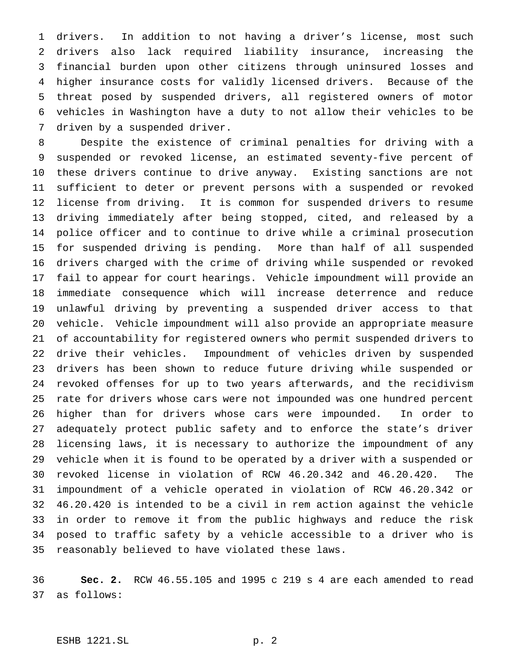drivers. In addition to not having a driver's license, most such drivers also lack required liability insurance, increasing the financial burden upon other citizens through uninsured losses and higher insurance costs for validly licensed drivers. Because of the threat posed by suspended drivers, all registered owners of motor vehicles in Washington have a duty to not allow their vehicles to be driven by a suspended driver.

 Despite the existence of criminal penalties for driving with a suspended or revoked license, an estimated seventy-five percent of these drivers continue to drive anyway. Existing sanctions are not sufficient to deter or prevent persons with a suspended or revoked license from driving. It is common for suspended drivers to resume driving immediately after being stopped, cited, and released by a police officer and to continue to drive while a criminal prosecution for suspended driving is pending. More than half of all suspended drivers charged with the crime of driving while suspended or revoked fail to appear for court hearings. Vehicle impoundment will provide an immediate consequence which will increase deterrence and reduce unlawful driving by preventing a suspended driver access to that vehicle. Vehicle impoundment will also provide an appropriate measure of accountability for registered owners who permit suspended drivers to drive their vehicles. Impoundment of vehicles driven by suspended drivers has been shown to reduce future driving while suspended or revoked offenses for up to two years afterwards, and the recidivism rate for drivers whose cars were not impounded was one hundred percent higher than for drivers whose cars were impounded. In order to adequately protect public safety and to enforce the state's driver licensing laws, it is necessary to authorize the impoundment of any vehicle when it is found to be operated by a driver with a suspended or revoked license in violation of RCW 46.20.342 and 46.20.420. The impoundment of a vehicle operated in violation of RCW 46.20.342 or 46.20.420 is intended to be a civil in rem action against the vehicle in order to remove it from the public highways and reduce the risk posed to traffic safety by a vehicle accessible to a driver who is reasonably believed to have violated these laws.

 **Sec. 2.** RCW 46.55.105 and 1995 c 219 s 4 are each amended to read as follows: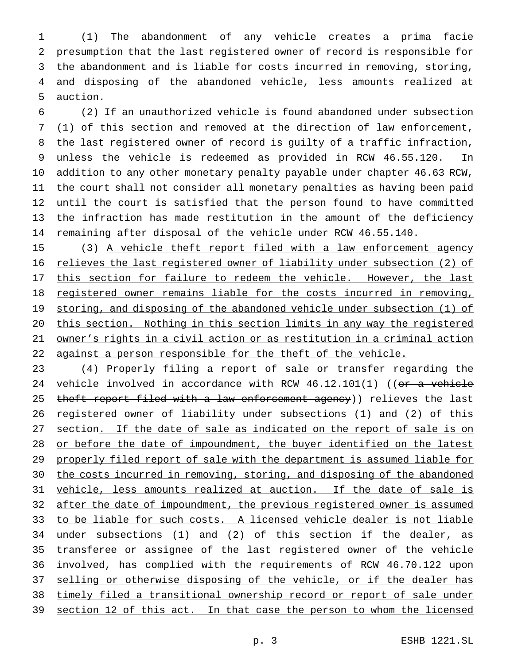(1) The abandonment of any vehicle creates a prima facie presumption that the last registered owner of record is responsible for the abandonment and is liable for costs incurred in removing, storing, and disposing of the abandoned vehicle, less amounts realized at auction.

 (2) If an unauthorized vehicle is found abandoned under subsection (1) of this section and removed at the direction of law enforcement, the last registered owner of record is guilty of a traffic infraction, unless the vehicle is redeemed as provided in RCW 46.55.120. In addition to any other monetary penalty payable under chapter 46.63 RCW, the court shall not consider all monetary penalties as having been paid until the court is satisfied that the person found to have committed the infraction has made restitution in the amount of the deficiency remaining after disposal of the vehicle under RCW 46.55.140.

 (3) A vehicle theft report filed with a law enforcement agency relieves the last registered owner of liability under subsection (2) of 17 this section for failure to redeem the vehicle. However, the last registered owner remains liable for the costs incurred in removing, storing, and disposing of the abandoned vehicle under subsection (1) of this section. Nothing in this section limits in any way the registered owner's rights in a civil action or as restitution in a criminal action against a person responsible for the theft of the vehicle.

23 (4) Properly filing a report of sale or transfer regarding the 24 vehicle involved in accordance with RCW  $46.12.101(1)$  ((or a vehicle 25 theft report filed with a law enforcement agency)) relieves the last registered owner of liability under subsections (1) and (2) of this 27 section. If the date of sale as indicated on the report of sale is on 28 or before the date of impoundment, the buyer identified on the latest 29 properly filed report of sale with the department is assumed liable for 30 the costs incurred in removing, storing, and disposing of the abandoned vehicle, less amounts realized at auction. If the date of sale is 32 after the date of impoundment, the previous registered owner is assumed to be liable for such costs. A licensed vehicle dealer is not liable under subsections (1) and (2) of this section if the dealer, as transferee or assignee of the last registered owner of the vehicle involved, has complied with the requirements of RCW 46.70.122 upon 37 selling or otherwise disposing of the vehicle, or if the dealer has timely filed a transitional ownership record or report of sale under 39 section 12 of this act. In that case the person to whom the licensed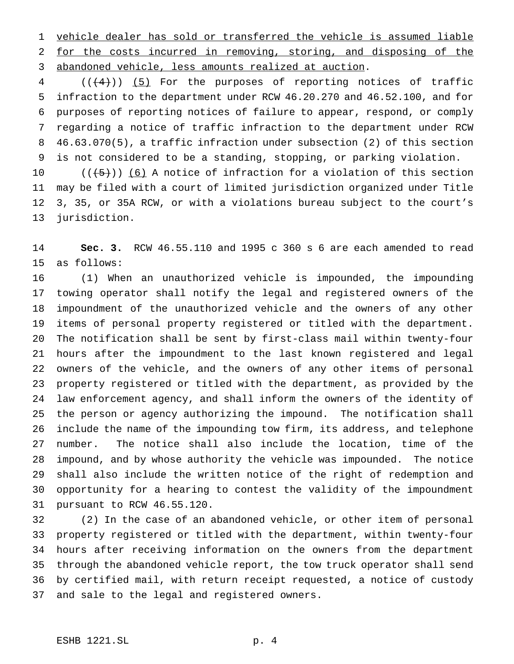vehicle dealer has sold or transferred the vehicle is assumed liable for the costs incurred in removing, storing, and disposing of the abandoned vehicle, less amounts realized at auction.

4 (( $(4)$ )) (5) For the purposes of reporting notices of traffic infraction to the department under RCW 46.20.270 and 46.52.100, and for purposes of reporting notices of failure to appear, respond, or comply regarding a notice of traffic infraction to the department under RCW 46.63.070(5), a traffic infraction under subsection (2) of this section is not considered to be a standing, stopping, or parking violation.

 $((\{5\})$  (6) A notice of infraction for a violation of this section may be filed with a court of limited jurisdiction organized under Title 3, 35, or 35A RCW, or with a violations bureau subject to the court's jurisdiction.

 **Sec. 3.** RCW 46.55.110 and 1995 c 360 s 6 are each amended to read as follows:

 (1) When an unauthorized vehicle is impounded, the impounding towing operator shall notify the legal and registered owners of the impoundment of the unauthorized vehicle and the owners of any other items of personal property registered or titled with the department. The notification shall be sent by first-class mail within twenty-four hours after the impoundment to the last known registered and legal owners of the vehicle, and the owners of any other items of personal property registered or titled with the department, as provided by the law enforcement agency, and shall inform the owners of the identity of the person or agency authorizing the impound. The notification shall include the name of the impounding tow firm, its address, and telephone number. The notice shall also include the location, time of the impound, and by whose authority the vehicle was impounded. The notice shall also include the written notice of the right of redemption and opportunity for a hearing to contest the validity of the impoundment pursuant to RCW 46.55.120.

 (2) In the case of an abandoned vehicle, or other item of personal property registered or titled with the department, within twenty-four hours after receiving information on the owners from the department through the abandoned vehicle report, the tow truck operator shall send by certified mail, with return receipt requested, a notice of custody and sale to the legal and registered owners.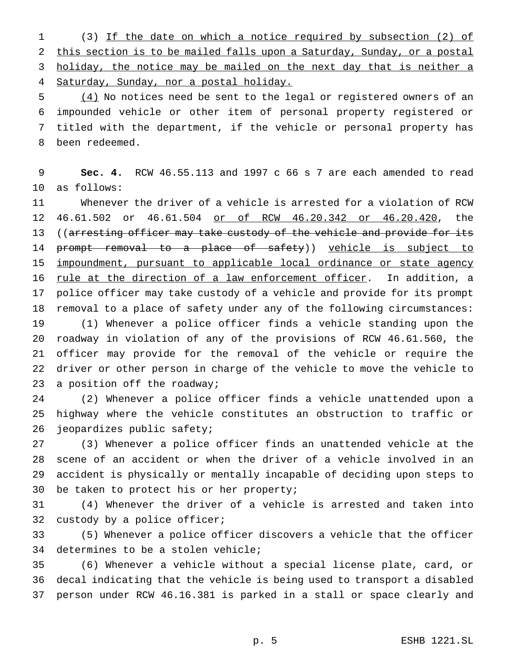(3) If the date on which a notice required by subsection (2) of this section is to be mailed falls upon a Saturday, Sunday, or a postal 3 holiday, the notice may be mailed on the next day that is neither a Saturday, Sunday, nor a postal holiday.

5 (4) No notices need be sent to the legal or registered owners of an impounded vehicle or other item of personal property registered or titled with the department, if the vehicle or personal property has been redeemed.

 **Sec. 4.** RCW 46.55.113 and 1997 c 66 s 7 are each amended to read as follows:

 Whenever the driver of a vehicle is arrested for a violation of RCW 46.61.502 or 46.61.504 or of RCW 46.20.342 or 46.20.420, the 13 ((arresting officer may take custody of the vehicle and provide for its 14 prompt removal to a place of safety)) vehicle is subject to impoundment, pursuant to applicable local ordinance or state agency 16 rule at the direction of a law enforcement officer. In addition, a police officer may take custody of a vehicle and provide for its prompt removal to a place of safety under any of the following circumstances: (1) Whenever a police officer finds a vehicle standing upon the roadway in violation of any of the provisions of RCW 46.61.560, the officer may provide for the removal of the vehicle or require the driver or other person in charge of the vehicle to move the vehicle to 23 a position off the roadway;

 (2) Whenever a police officer finds a vehicle unattended upon a highway where the vehicle constitutes an obstruction to traffic or jeopardizes public safety;

 (3) Whenever a police officer finds an unattended vehicle at the scene of an accident or when the driver of a vehicle involved in an accident is physically or mentally incapable of deciding upon steps to be taken to protect his or her property;

 (4) Whenever the driver of a vehicle is arrested and taken into custody by a police officer;

 (5) Whenever a police officer discovers a vehicle that the officer determines to be a stolen vehicle;

 (6) Whenever a vehicle without a special license plate, card, or decal indicating that the vehicle is being used to transport a disabled person under RCW 46.16.381 is parked in a stall or space clearly and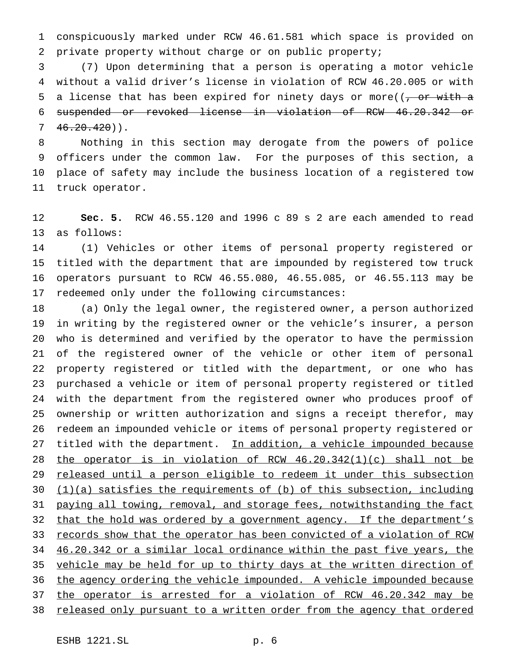conspicuously marked under RCW 46.61.581 which space is provided on private property without charge or on public property;

 (7) Upon determining that a person is operating a motor vehicle without a valid driver's license in violation of RCW 46.20.005 or with 5 a license that has been expired for ninety days or more( $(-\sigma r + \sigma r)$ ) suspended or revoked license in violation of RCW 46.20.342 or  $7 \quad 46.20.420)$ .

 Nothing in this section may derogate from the powers of police officers under the common law. For the purposes of this section, a place of safety may include the business location of a registered tow truck operator.

 **Sec. 5.** RCW 46.55.120 and 1996 c 89 s 2 are each amended to read as follows:

 (1) Vehicles or other items of personal property registered or titled with the department that are impounded by registered tow truck operators pursuant to RCW 46.55.080, 46.55.085, or 46.55.113 may be redeemed only under the following circumstances:

 (a) Only the legal owner, the registered owner, a person authorized in writing by the registered owner or the vehicle's insurer, a person who is determined and verified by the operator to have the permission of the registered owner of the vehicle or other item of personal property registered or titled with the department, or one who has purchased a vehicle or item of personal property registered or titled with the department from the registered owner who produces proof of ownership or written authorization and signs a receipt therefor, may redeem an impounded vehicle or items of personal property registered or 27 titled with the department. In addition, a vehicle impounded because the operator is in violation of RCW 46.20.342(1)(c) shall not be 29 released until a person eligible to redeem it under this subsection (1)(a) satisfies the requirements of (b) of this subsection, including 31 paying all towing, removal, and storage fees, notwithstanding the fact 32 that the hold was ordered by a government agency. If the department's 33 records show that the operator has been convicted of a violation of RCW 46.20.342 or a similar local ordinance within the past five years, the 35 vehicle may be held for up to thirty days at the written direction of the agency ordering the vehicle impounded. A vehicle impounded because the operator is arrested for a violation of RCW 46.20.342 may be 38 released only pursuant to a written order from the agency that ordered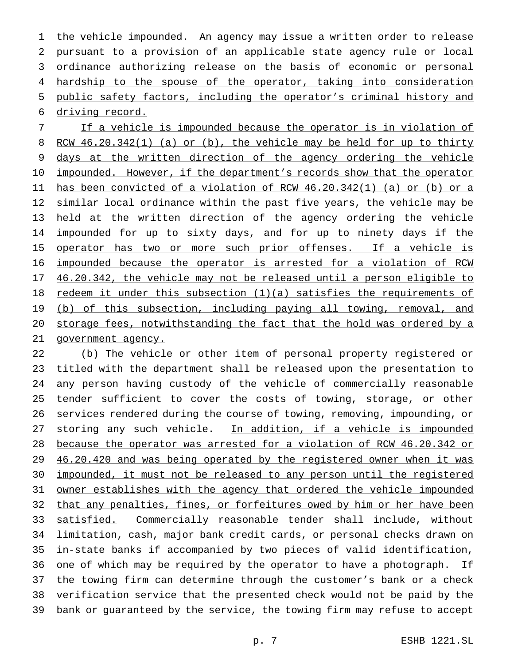1 the vehicle impounded. An agency may issue a written order to release pursuant to a provision of an applicable state agency rule or local ordinance authorizing release on the basis of economic or personal 4 hardship to the spouse of the operator, taking into consideration public safety factors, including the operator's criminal history and driving record.

 If a vehicle is impounded because the operator is in violation of RCW 46.20.342(1) (a) or (b), the vehicle may be held for up to thirty 9 days at the written direction of the agency ordering the vehicle 10 impounded. However, if the department's records show that the operator has been convicted of a violation of RCW 46.20.342(1) (a) or (b) or a 12 similar local ordinance within the past five years, the vehicle may be held at the written direction of the agency ordering the vehicle 14 impounded for up to sixty days, and for up to ninety days if the 15 operator has two or more such prior offenses. If a vehicle is impounded because the operator is arrested for a violation of RCW 46.20.342, the vehicle may not be released until a person eligible to redeem it under this subsection (1)(a) satisfies the requirements of 19 (b) of this subsection, including paying all towing, removal, and storage fees, notwithstanding the fact that the hold was ordered by a government agency.

 (b) The vehicle or other item of personal property registered or titled with the department shall be released upon the presentation to any person having custody of the vehicle of commercially reasonable tender sufficient to cover the costs of towing, storage, or other services rendered during the course of towing, removing, impounding, or 27 storing any such vehicle. In addition, if a vehicle is impounded because the operator was arrested for a violation of RCW 46.20.342 or 29 46.20.420 and was being operated by the registered owner when it was impounded, it must not be released to any person until the registered owner establishes with the agency that ordered the vehicle impounded that any penalties, fines, or forfeitures owed by him or her have been satisfied. Commercially reasonable tender shall include, without limitation, cash, major bank credit cards, or personal checks drawn on in-state banks if accompanied by two pieces of valid identification, one of which may be required by the operator to have a photograph. If the towing firm can determine through the customer's bank or a check verification service that the presented check would not be paid by the bank or guaranteed by the service, the towing firm may refuse to accept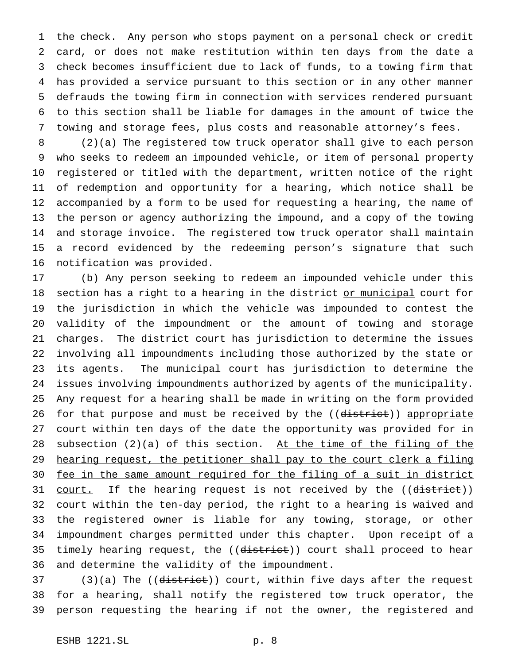the check. Any person who stops payment on a personal check or credit card, or does not make restitution within ten days from the date a check becomes insufficient due to lack of funds, to a towing firm that has provided a service pursuant to this section or in any other manner defrauds the towing firm in connection with services rendered pursuant to this section shall be liable for damages in the amount of twice the towing and storage fees, plus costs and reasonable attorney's fees.

 (2)(a) The registered tow truck operator shall give to each person who seeks to redeem an impounded vehicle, or item of personal property registered or titled with the department, written notice of the right of redemption and opportunity for a hearing, which notice shall be accompanied by a form to be used for requesting a hearing, the name of the person or agency authorizing the impound, and a copy of the towing and storage invoice. The registered tow truck operator shall maintain a record evidenced by the redeeming person's signature that such notification was provided.

 (b) Any person seeking to redeem an impounded vehicle under this 18 section has a right to a hearing in the district or municipal court for the jurisdiction in which the vehicle was impounded to contest the validity of the impoundment or the amount of towing and storage charges. The district court has jurisdiction to determine the issues involving all impoundments including those authorized by the state or its agents. The municipal court has jurisdiction to determine the 24 issues involving impoundments authorized by agents of the municipality. Any request for a hearing shall be made in writing on the form provided 26 for that purpose and must be received by the ((district)) appropriate court within ten days of the date the opportunity was provided for in 28 subsection  $(2)(a)$  of this section. At the time of the filing of the hearing request, the petitioner shall pay to the court clerk a filing fee in the same amount required for the filing of a suit in district 31 court. If the hearing request is not received by the ((district)) court within the ten-day period, the right to a hearing is waived and the registered owner is liable for any towing, storage, or other impoundment charges permitted under this chapter. Upon receipt of a 35 timely hearing request, the ((district)) court shall proceed to hear and determine the validity of the impoundment.

37 (3)(a) The ((district)) court, within five days after the request for a hearing, shall notify the registered tow truck operator, the person requesting the hearing if not the owner, the registered and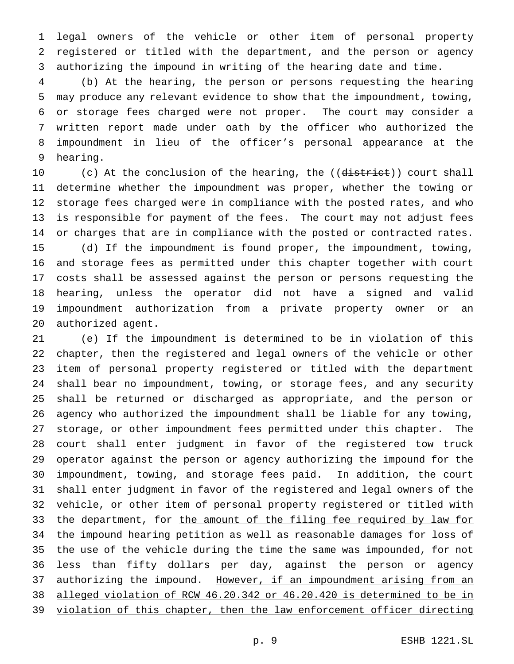legal owners of the vehicle or other item of personal property registered or titled with the department, and the person or agency authorizing the impound in writing of the hearing date and time.

 (b) At the hearing, the person or persons requesting the hearing may produce any relevant evidence to show that the impoundment, towing, or storage fees charged were not proper. The court may consider a written report made under oath by the officer who authorized the impoundment in lieu of the officer's personal appearance at the hearing.

10 (c) At the conclusion of the hearing, the ((district)) court shall determine whether the impoundment was proper, whether the towing or storage fees charged were in compliance with the posted rates, and who is responsible for payment of the fees. The court may not adjust fees or charges that are in compliance with the posted or contracted rates. (d) If the impoundment is found proper, the impoundment, towing, and storage fees as permitted under this chapter together with court costs shall be assessed against the person or persons requesting the hearing, unless the operator did not have a signed and valid impoundment authorization from a private property owner or an authorized agent.

 (e) If the impoundment is determined to be in violation of this chapter, then the registered and legal owners of the vehicle or other item of personal property registered or titled with the department shall bear no impoundment, towing, or storage fees, and any security shall be returned or discharged as appropriate, and the person or agency who authorized the impoundment shall be liable for any towing, storage, or other impoundment fees permitted under this chapter. The court shall enter judgment in favor of the registered tow truck operator against the person or agency authorizing the impound for the impoundment, towing, and storage fees paid. In addition, the court shall enter judgment in favor of the registered and legal owners of the vehicle, or other item of personal property registered or titled with 33 the department, for the amount of the filing fee required by law for 34 the impound hearing petition as well as reasonable damages for loss of the use of the vehicle during the time the same was impounded, for not less than fifty dollars per day, against the person or agency 37 authorizing the impound. However, if an impoundment arising from an alleged violation of RCW 46.20.342 or 46.20.420 is determined to be in 39 violation of this chapter, then the law enforcement officer directing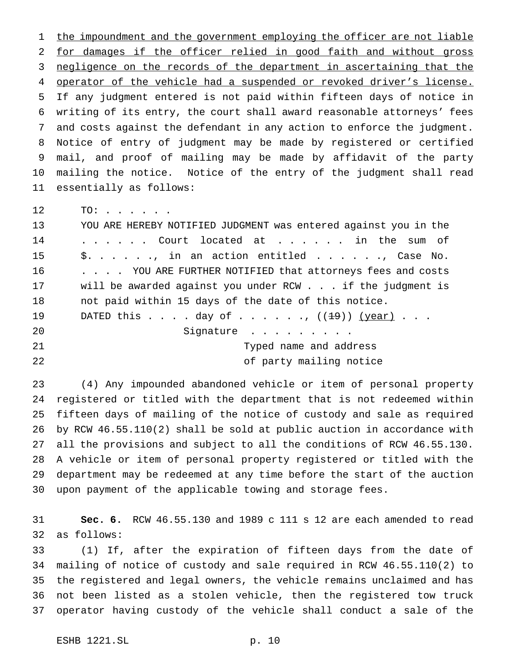1 the impoundment and the government employing the officer are not liable for damages if the officer relied in good faith and without gross 3 negligence on the records of the department in ascertaining that the 4 operator of the vehicle had a suspended or revoked driver's license. If any judgment entered is not paid within fifteen days of notice in writing of its entry, the court shall award reasonable attorneys' fees and costs against the defendant in any action to enforce the judgment. Notice of entry of judgment may be made by registered or certified mail, and proof of mailing may be made by affidavit of the party mailing the notice. Notice of the entry of the judgment shall read essentially as follows:

TO: . . . . . .

 YOU ARE HEREBY NOTIFIED JUDGMENT was entered against you in the 14 . . . . . Court located at . . . . . in the sum of \$. . . . . ., in an action entitled . . . . . ., Case No. 16 . . . . YOU ARE FURTHER NOTIFIED that attorneys fees and costs will be awarded against you under RCW . . . if the judgment is not paid within 15 days of the date of this notice. 19 DATED this  $\ldots$  . day of  $\ldots$  . . . .,  $((1\frac{19}{)) (year})$ . . . 20 Signature . . . . . . . . Typed name and address of party mailing notice

 (4) Any impounded abandoned vehicle or item of personal property registered or titled with the department that is not redeemed within fifteen days of mailing of the notice of custody and sale as required by RCW 46.55.110(2) shall be sold at public auction in accordance with all the provisions and subject to all the conditions of RCW 46.55.130. A vehicle or item of personal property registered or titled with the department may be redeemed at any time before the start of the auction upon payment of the applicable towing and storage fees.

 **Sec. 6.** RCW 46.55.130 and 1989 c 111 s 12 are each amended to read as follows:

 (1) If, after the expiration of fifteen days from the date of mailing of notice of custody and sale required in RCW 46.55.110(2) to the registered and legal owners, the vehicle remains unclaimed and has not been listed as a stolen vehicle, then the registered tow truck operator having custody of the vehicle shall conduct a sale of the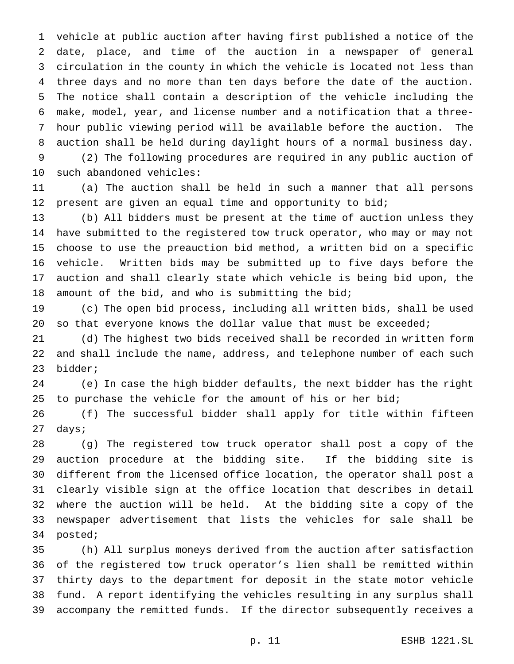vehicle at public auction after having first published a notice of the date, place, and time of the auction in a newspaper of general circulation in the county in which the vehicle is located not less than three days and no more than ten days before the date of the auction. The notice shall contain a description of the vehicle including the make, model, year, and license number and a notification that a three- hour public viewing period will be available before the auction. The auction shall be held during daylight hours of a normal business day. (2) The following procedures are required in any public auction of

such abandoned vehicles:

 (a) The auction shall be held in such a manner that all persons present are given an equal time and opportunity to bid;

 (b) All bidders must be present at the time of auction unless they have submitted to the registered tow truck operator, who may or may not choose to use the preauction bid method, a written bid on a specific vehicle. Written bids may be submitted up to five days before the auction and shall clearly state which vehicle is being bid upon, the amount of the bid, and who is submitting the bid;

 (c) The open bid process, including all written bids, shall be used so that everyone knows the dollar value that must be exceeded;

 (d) The highest two bids received shall be recorded in written form and shall include the name, address, and telephone number of each such bidder;

 (e) In case the high bidder defaults, the next bidder has the right 25 to purchase the vehicle for the amount of his or her bid;

 (f) The successful bidder shall apply for title within fifteen days;

 (g) The registered tow truck operator shall post a copy of the auction procedure at the bidding site. If the bidding site is different from the licensed office location, the operator shall post a clearly visible sign at the office location that describes in detail where the auction will be held. At the bidding site a copy of the newspaper advertisement that lists the vehicles for sale shall be posted;

 (h) All surplus moneys derived from the auction after satisfaction of the registered tow truck operator's lien shall be remitted within thirty days to the department for deposit in the state motor vehicle fund. A report identifying the vehicles resulting in any surplus shall accompany the remitted funds. If the director subsequently receives a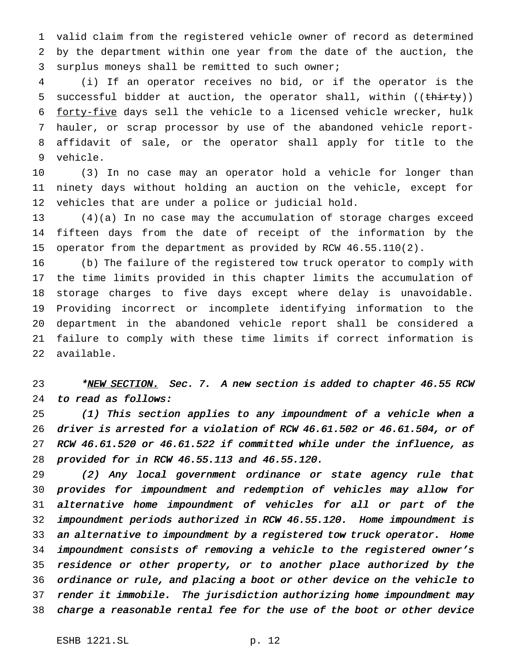valid claim from the registered vehicle owner of record as determined by the department within one year from the date of the auction, the surplus moneys shall be remitted to such owner;

 (i) If an operator receives no bid, or if the operator is the 5 successful bidder at auction, the operator shall, within ((thirty)) forty-five days sell the vehicle to a licensed vehicle wrecker, hulk hauler, or scrap processor by use of the abandoned vehicle report- affidavit of sale, or the operator shall apply for title to the vehicle.

 (3) In no case may an operator hold a vehicle for longer than ninety days without holding an auction on the vehicle, except for vehicles that are under a police or judicial hold.

 (4)(a) In no case may the accumulation of storage charges exceed fifteen days from the date of receipt of the information by the operator from the department as provided by RCW 46.55.110(2).

 (b) The failure of the registered tow truck operator to comply with the time limits provided in this chapter limits the accumulation of storage charges to five days except where delay is unavoidable. Providing incorrect or incomplete identifying information to the department in the abandoned vehicle report shall be considered a failure to comply with these time limits if correct information is available.

# 23 \*NEW SECTION. Sec. 7. A new section is added to chapter 46.55 RCW to read as follows:

 (1) This section applies to any impoundment of <sup>a</sup> vehicle when <sup>a</sup> driver is arrested for <sup>a</sup> violation of RCW 46.61.502 or 46.61.504, or of RCW 46.61.520 or 46.61.522 if committed while under the influence, as provided for in RCW 46.55.113 and 46.55.120.

 (2) Any local government ordinance or state agency rule that provides for impoundment and redemption of vehicles may allow for alternative home impoundment of vehicles for all or part of the impoundment periods authorized in RCW 46.55.120. Home impoundment is an alternative to impoundment by <sup>a</sup> registered tow truck operator. Home impoundment consists of removing <sup>a</sup> vehicle to the registered owner's residence or other property, or to another place authorized by the ordinance or rule, and placing <sup>a</sup> boot or other device on the vehicle to render it immobile. The jurisdiction authorizing home impoundment may charge <sup>a</sup> reasonable rental fee for the use of the boot or other device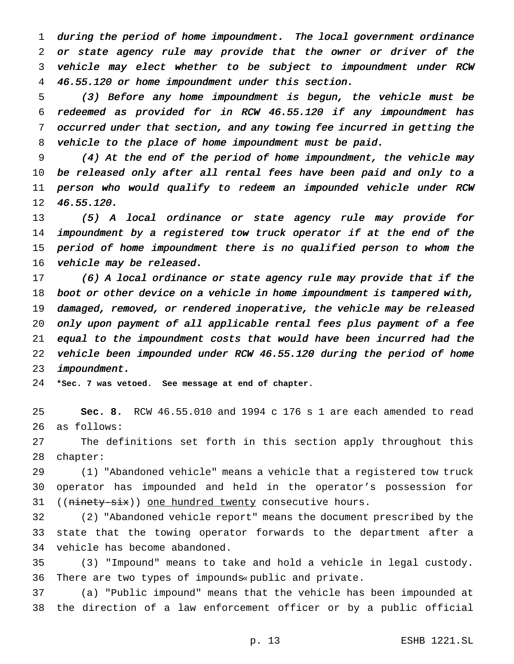during the period of home impoundment. The local government ordinance or state agency rule may provide that the owner or driver of the vehicle may elect whether to be subject to impoundment under RCW 46.55.120 or home impoundment under this section.

 (3) Before any home impoundment is begun, the vehicle must be redeemed as provided for in RCW 46.55.120 if any impoundment has occurred under that section, and any towing fee incurred in getting the vehicle to the place of home impoundment must be paid.

 (4) At the end of the period of home impoundment, the vehicle may be released only after all rental fees have been paid and only to <sup>a</sup> person who would qualify to redeem an impounded vehicle under RCW 46.55.120.

 (5) <sup>A</sup> local ordinance or state agency rule may provide for impoundment by <sup>a</sup> registered tow truck operator if at the end of the period of home impoundment there is no qualified person to whom the vehicle may be released.

 (6) <sup>A</sup> local ordinance or state agency rule may provide that if the boot or other device on <sup>a</sup> vehicle in home impoundment is tampered with, damaged, removed, or rendered inoperative, the vehicle may be released only upon payment of all applicable rental fees plus payment of <sup>a</sup> fee equal to the impoundment costs that would have been incurred had the vehicle been impounded under RCW 46.55.120 during the period of home impoundment.

**\*Sec. 7 was vetoed. See message at end of chapter.**

 **Sec. 8.** RCW 46.55.010 and 1994 c 176 s 1 are each amended to read as follows:

 The definitions set forth in this section apply throughout this chapter:

 (1) "Abandoned vehicle" means a vehicle that a registered tow truck operator has impounded and held in the operator's possession for 31 ((ninety-six)) one hundred twenty consecutive hours.

 (2) "Abandoned vehicle report" means the document prescribed by the state that the towing operator forwards to the department after a vehicle has become abandoned.

 (3) "Impound" means to take and hold a vehicle in legal custody. There are two types of impounds« public and private.

 (a) "Public impound" means that the vehicle has been impounded at the direction of a law enforcement officer or by a public official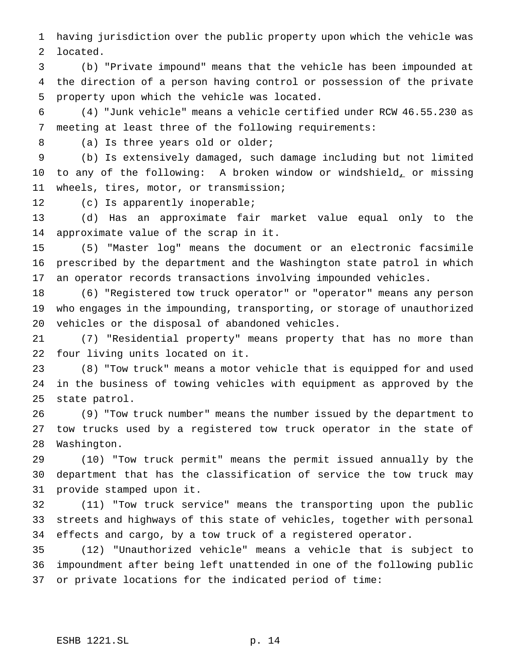having jurisdiction over the public property upon which the vehicle was located.

 (b) "Private impound" means that the vehicle has been impounded at the direction of a person having control or possession of the private property upon which the vehicle was located.

 (4) "Junk vehicle" means a vehicle certified under RCW 46.55.230 as meeting at least three of the following requirements:

8 (a) Is three years old or older;

 (b) Is extensively damaged, such damage including but not limited 10 to any of the following: A broken window or windshield, or missing wheels, tires, motor, or transmission;

(c) Is apparently inoperable;

 (d) Has an approximate fair market value equal only to the approximate value of the scrap in it.

 (5) "Master log" means the document or an electronic facsimile prescribed by the department and the Washington state patrol in which an operator records transactions involving impounded vehicles.

 (6) "Registered tow truck operator" or "operator" means any person who engages in the impounding, transporting, or storage of unauthorized vehicles or the disposal of abandoned vehicles.

 (7) "Residential property" means property that has no more than four living units located on it.

 (8) "Tow truck" means a motor vehicle that is equipped for and used in the business of towing vehicles with equipment as approved by the state patrol.

 (9) "Tow truck number" means the number issued by the department to tow trucks used by a registered tow truck operator in the state of Washington.

 (10) "Tow truck permit" means the permit issued annually by the department that has the classification of service the tow truck may provide stamped upon it.

 (11) "Tow truck service" means the transporting upon the public streets and highways of this state of vehicles, together with personal effects and cargo, by a tow truck of a registered operator.

 (12) "Unauthorized vehicle" means a vehicle that is subject to impoundment after being left unattended in one of the following public or private locations for the indicated period of time: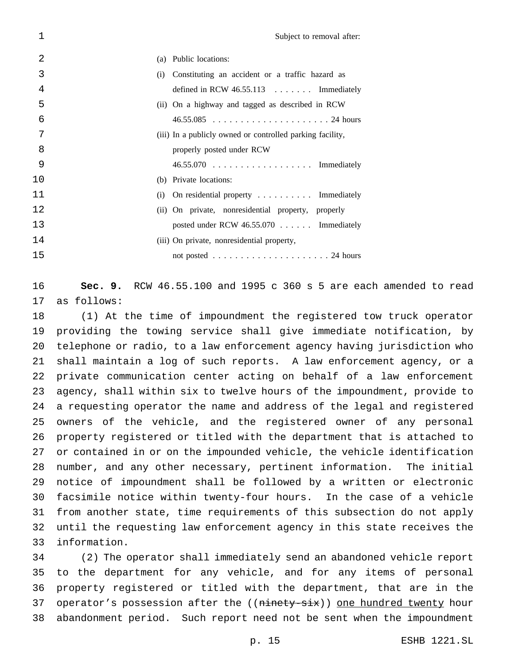| 1  |     | Subject to removal after:                                 |
|----|-----|-----------------------------------------------------------|
| 2  | (a) | Public locations:                                         |
| 3  | (i) | Constituting an accident or a traffic hazard as           |
| 4  |     | defined in RCW $46.55.113$ Immediately                    |
| 5  |     | (ii) On a highway and tagged as described in RCW          |
| 6  |     |                                                           |
| 7  |     | (iii) In a publicly owned or controlled parking facility, |
| 8  |     | properly posted under RCW                                 |
| 9  |     |                                                           |
| 10 |     | (b) Private locations:                                    |
| 11 |     | $(i)$ On residential property  Immediately                |
| 12 |     | (ii) On private, nonresidential property, properly        |
| 13 |     | posted under RCW $46.55.070$ Immediately                  |
| 14 |     | (iii) On private, nonresidential property,                |
| 15 |     |                                                           |

 **Sec. 9.** RCW 46.55.100 and 1995 c 360 s 5 are each amended to read as follows:

 (1) At the time of impoundment the registered tow truck operator providing the towing service shall give immediate notification, by telephone or radio, to a law enforcement agency having jurisdiction who shall maintain a log of such reports. A law enforcement agency, or a private communication center acting on behalf of a law enforcement agency, shall within six to twelve hours of the impoundment, provide to a requesting operator the name and address of the legal and registered owners of the vehicle, and the registered owner of any personal property registered or titled with the department that is attached to or contained in or on the impounded vehicle, the vehicle identification number, and any other necessary, pertinent information. The initial notice of impoundment shall be followed by a written or electronic facsimile notice within twenty-four hours. In the case of a vehicle from another state, time requirements of this subsection do not apply until the requesting law enforcement agency in this state receives the information.

 (2) The operator shall immediately send an abandoned vehicle report to the department for any vehicle, and for any items of personal property registered or titled with the department, that are in the 37 operator's possession after the ((ninety-six)) one hundred twenty hour abandonment period. Such report need not be sent when the impoundment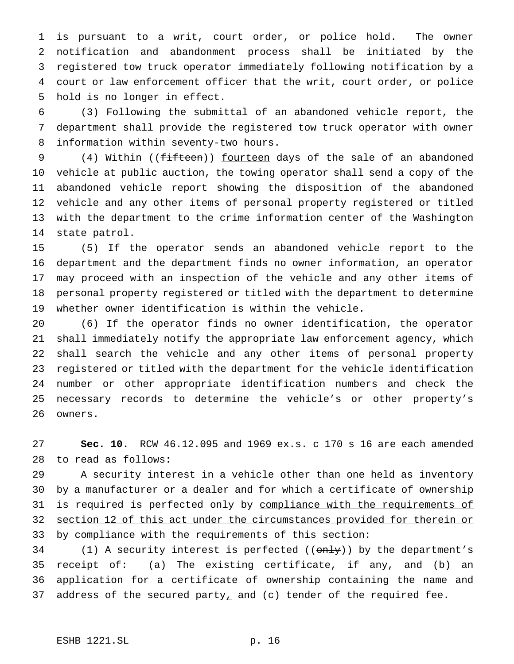is pursuant to a writ, court order, or police hold. The owner notification and abandonment process shall be initiated by the registered tow truck operator immediately following notification by a court or law enforcement officer that the writ, court order, or police hold is no longer in effect.

 (3) Following the submittal of an abandoned vehicle report, the department shall provide the registered tow truck operator with owner information within seventy-two hours.

9 (4) Within ((fifteen)) fourteen days of the sale of an abandoned vehicle at public auction, the towing operator shall send a copy of the abandoned vehicle report showing the disposition of the abandoned vehicle and any other items of personal property registered or titled with the department to the crime information center of the Washington state patrol.

 (5) If the operator sends an abandoned vehicle report to the department and the department finds no owner information, an operator may proceed with an inspection of the vehicle and any other items of personal property registered or titled with the department to determine whether owner identification is within the vehicle.

 (6) If the operator finds no owner identification, the operator shall immediately notify the appropriate law enforcement agency, which shall search the vehicle and any other items of personal property registered or titled with the department for the vehicle identification number or other appropriate identification numbers and check the necessary records to determine the vehicle's or other property's owners.

 **Sec. 10.** RCW 46.12.095 and 1969 ex.s. c 170 s 16 are each amended to read as follows:

 A security interest in a vehicle other than one held as inventory by a manufacturer or a dealer and for which a certificate of ownership 31 is required is perfected only by compliance with the requirements of section 12 of this act under the circumstances provided for therein or 33 by compliance with the requirements of this section:

34 (1) A security interest is perfected  $((only)$ ) by the department's receipt of: (a) The existing certificate, if any, and (b) an application for a certificate of ownership containing the name and 37 address of the secured party<sub> $\perp$ </sub> and (c) tender of the required fee.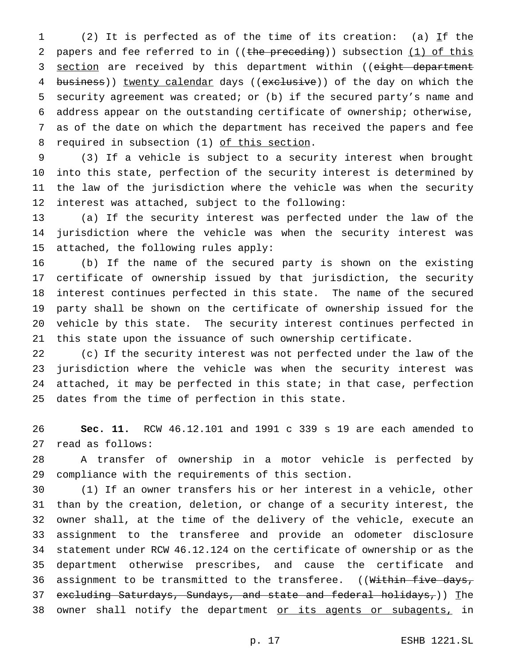1 (2) It is perfected as of the time of its creation: (a)  $If$  the 2 papers and fee referred to in ((the preceding)) subsection (1) of this 3 section are received by this department within ((eight department 4 business)) twenty calendar days ((exclusive)) of the day on which the security agreement was created; or (b) if the secured party's name and address appear on the outstanding certificate of ownership; otherwise, as of the date on which the department has received the papers and fee 8 required in subsection (1) of this section.

 (3) If a vehicle is subject to a security interest when brought into this state, perfection of the security interest is determined by the law of the jurisdiction where the vehicle was when the security interest was attached, subject to the following:

 (a) If the security interest was perfected under the law of the jurisdiction where the vehicle was when the security interest was attached, the following rules apply:

 (b) If the name of the secured party is shown on the existing certificate of ownership issued by that jurisdiction, the security interest continues perfected in this state. The name of the secured party shall be shown on the certificate of ownership issued for the vehicle by this state. The security interest continues perfected in this state upon the issuance of such ownership certificate.

 (c) If the security interest was not perfected under the law of the jurisdiction where the vehicle was when the security interest was attached, it may be perfected in this state; in that case, perfection dates from the time of perfection in this state.

 **Sec. 11.** RCW 46.12.101 and 1991 c 339 s 19 are each amended to read as follows:

 A transfer of ownership in a motor vehicle is perfected by compliance with the requirements of this section.

 (1) If an owner transfers his or her interest in a vehicle, other than by the creation, deletion, or change of a security interest, the owner shall, at the time of the delivery of the vehicle, execute an assignment to the transferee and provide an odometer disclosure statement under RCW 46.12.124 on the certificate of ownership or as the department otherwise prescribes, and cause the certificate and 36 assignment to be transmitted to the transferee. ((Within five days, 37 excluding Saturdays, Sundays, and state and federal holidays,)) The 38 owner shall notify the department or its agents or subagents, in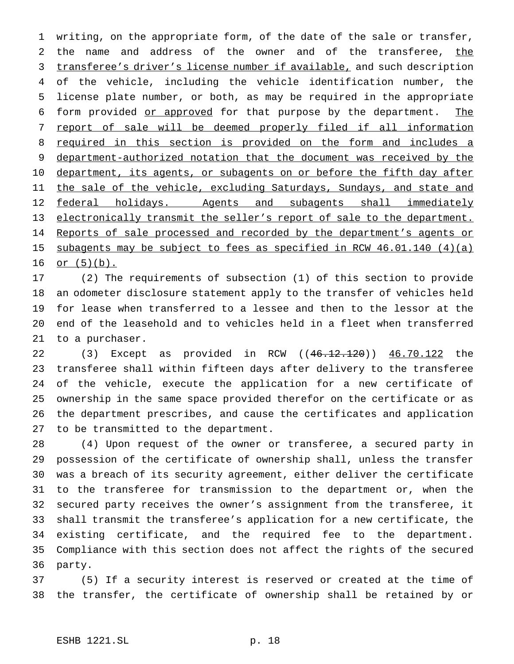writing, on the appropriate form, of the date of the sale or transfer, 2 the name and address of the owner and of the transferee, the 3 transferee's driver's license number if available, and such description of the vehicle, including the vehicle identification number, the license plate number, or both, as may be required in the appropriate 6 form provided or approved for that purpose by the department. The report of sale will be deemed properly filed if all information required in this section is provided on the form and includes a 9 department-authorized notation that the document was received by the 10 department, its agents, or subagents on or before the fifth day after 11 the sale of the vehicle, excluding Saturdays, Sundays, and state and 12 federal holidays. Agents and subagents shall immediately electronically transmit the seller's report of sale to the department. 14 Reports of sale processed and recorded by the department's agents or 15 subagents may be subject to fees as specified in RCW 46.01.140 (4)(a) or  $(5)(b)$ .

 (2) The requirements of subsection (1) of this section to provide an odometer disclosure statement apply to the transfer of vehicles held for lease when transferred to a lessee and then to the lessor at the end of the leasehold and to vehicles held in a fleet when transferred to a purchaser.

22 (3) Except as provided in RCW ((<del>46.12.120</del>)) <u>46.70.122</u> the transferee shall within fifteen days after delivery to the transferee of the vehicle, execute the application for a new certificate of ownership in the same space provided therefor on the certificate or as the department prescribes, and cause the certificates and application to be transmitted to the department.

 (4) Upon request of the owner or transferee, a secured party in possession of the certificate of ownership shall, unless the transfer was a breach of its security agreement, either deliver the certificate to the transferee for transmission to the department or, when the secured party receives the owner's assignment from the transferee, it shall transmit the transferee's application for a new certificate, the existing certificate, and the required fee to the department. Compliance with this section does not affect the rights of the secured party.

 (5) If a security interest is reserved or created at the time of the transfer, the certificate of ownership shall be retained by or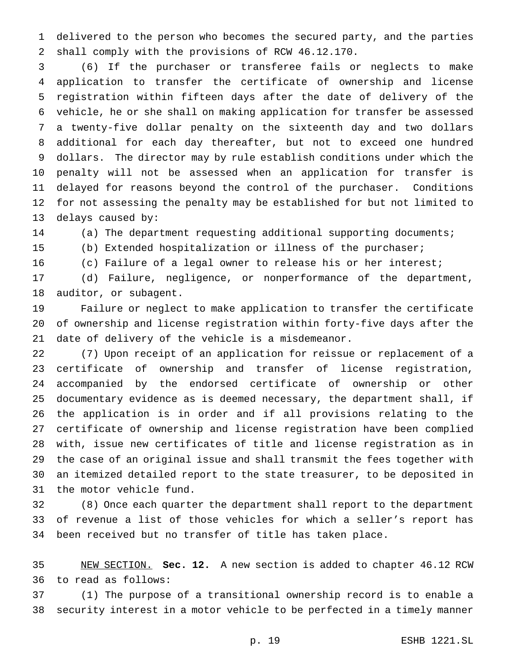delivered to the person who becomes the secured party, and the parties shall comply with the provisions of RCW 46.12.170.

 (6) If the purchaser or transferee fails or neglects to make application to transfer the certificate of ownership and license registration within fifteen days after the date of delivery of the vehicle, he or she shall on making application for transfer be assessed a twenty-five dollar penalty on the sixteenth day and two dollars additional for each day thereafter, but not to exceed one hundred dollars. The director may by rule establish conditions under which the penalty will not be assessed when an application for transfer is delayed for reasons beyond the control of the purchaser. Conditions for not assessing the penalty may be established for but not limited to delays caused by:

(a) The department requesting additional supporting documents;

(b) Extended hospitalization or illness of the purchaser;

(c) Failure of a legal owner to release his or her interest;

 (d) Failure, negligence, or nonperformance of the department, auditor, or subagent.

 Failure or neglect to make application to transfer the certificate of ownership and license registration within forty-five days after the date of delivery of the vehicle is a misdemeanor.

 (7) Upon receipt of an application for reissue or replacement of a certificate of ownership and transfer of license registration, accompanied by the endorsed certificate of ownership or other documentary evidence as is deemed necessary, the department shall, if the application is in order and if all provisions relating to the certificate of ownership and license registration have been complied with, issue new certificates of title and license registration as in the case of an original issue and shall transmit the fees together with an itemized detailed report to the state treasurer, to be deposited in the motor vehicle fund.

 (8) Once each quarter the department shall report to the department of revenue a list of those vehicles for which a seller's report has been received but no transfer of title has taken place.

 NEW SECTION. **Sec. 12.** A new section is added to chapter 46.12 RCW to read as follows:

 (1) The purpose of a transitional ownership record is to enable a security interest in a motor vehicle to be perfected in a timely manner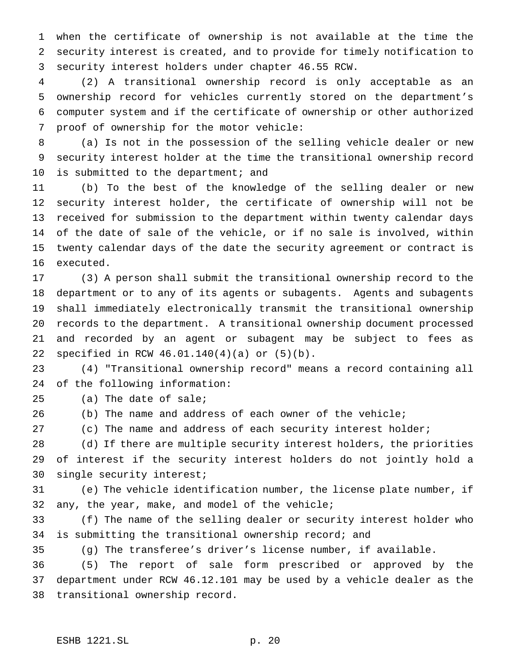when the certificate of ownership is not available at the time the security interest is created, and to provide for timely notification to security interest holders under chapter 46.55 RCW.

 (2) A transitional ownership record is only acceptable as an ownership record for vehicles currently stored on the department's computer system and if the certificate of ownership or other authorized proof of ownership for the motor vehicle:

 (a) Is not in the possession of the selling vehicle dealer or new security interest holder at the time the transitional ownership record 10 is submitted to the department; and

 (b) To the best of the knowledge of the selling dealer or new security interest holder, the certificate of ownership will not be received for submission to the department within twenty calendar days of the date of sale of the vehicle, or if no sale is involved, within twenty calendar days of the date the security agreement or contract is executed.

 (3) A person shall submit the transitional ownership record to the department or to any of its agents or subagents. Agents and subagents shall immediately electronically transmit the transitional ownership records to the department. A transitional ownership document processed and recorded by an agent or subagent may be subject to fees as specified in RCW 46.01.140(4)(a) or (5)(b).

 (4) "Transitional ownership record" means a record containing all of the following information:

(a) The date of sale;

(b) The name and address of each owner of the vehicle;

(c) The name and address of each security interest holder;

 (d) If there are multiple security interest holders, the priorities of interest if the security interest holders do not jointly hold a single security interest;

 (e) The vehicle identification number, the license plate number, if any, the year, make, and model of the vehicle;

 (f) The name of the selling dealer or security interest holder who is submitting the transitional ownership record; and

(g) The transferee's driver's license number, if available.

 (5) The report of sale form prescribed or approved by the department under RCW 46.12.101 may be used by a vehicle dealer as the transitional ownership record.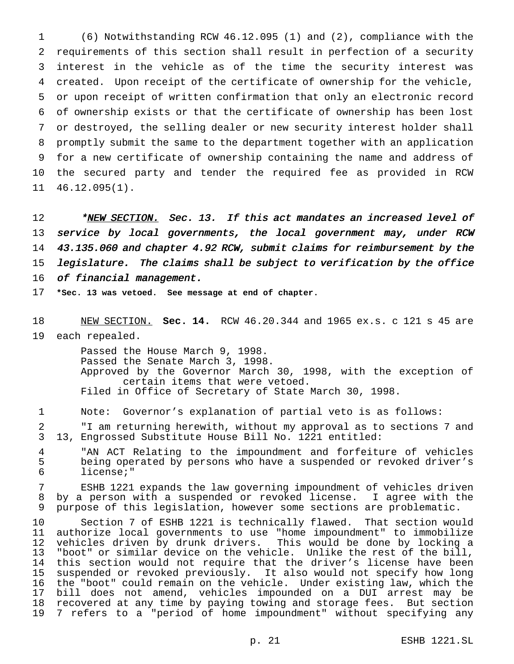(6) Notwithstanding RCW 46.12.095 (1) and (2), compliance with the requirements of this section shall result in perfection of a security interest in the vehicle as of the time the security interest was created. Upon receipt of the certificate of ownership for the vehicle, or upon receipt of written confirmation that only an electronic record of ownership exists or that the certificate of ownership has been lost or destroyed, the selling dealer or new security interest holder shall promptly submit the same to the department together with an application for a new certificate of ownership containing the name and address of the secured party and tender the required fee as provided in RCW 46.12.095(1).

12 \*NEW SECTION. Sec. 13. If this act mandates an increased level of 13 service by local governments, the local government may, under RCW 43.135.060 and chapter 4.92 RCW, submit claims for reimbursement by the legislature. The claims shall be subject to verification by the office 16 of financial management.

**\*Sec. 13 was vetoed. See message at end of chapter.**

 NEW SECTION. **Sec. 14.** RCW 46.20.344 and 1965 ex.s. c 121 s 45 are each repealed.

> Passed the House March 9, 1998. Passed the Senate March 3, 1998. Approved by the Governor March 30, 1998, with the exception of certain items that were vetoed. Filed in Office of Secretary of State March 30, 1998.

Note: Governor's explanation of partial veto is as follows:

 "I am returning herewith, without my approval as to sections 7 and 13, Engrossed Substitute House Bill No. 1221 entitled:

4 "AN ACT Relating to the impoundment and forfeiture of vehicles<br>5 being operated by persons who have a suspended or revoked driver's being operated by persons who have a suspended or revoked driver's license;"

 ESHB 1221 expands the law governing impoundment of vehicles driven by a person with a suspended or revoked license. I agree with the purpose of this legislation, however some sections are problematic.

 Section 7 of ESHB 1221 is technically flawed. That section would authorize local governments to use "home impoundment" to immobilize vehicles driven by drunk drivers. This would be done by locking a "boot" or similar device on the vehicle. Unlike the rest of the bill, this section would not require that the driver's license have been suspended or revoked previously. It also would not specify how long the "boot" could remain on the vehicle. Under existing law, which the bill does not amend, vehicles impounded on a DUI arrest may be recovered at any time by paying towing and storage fees. But section 7 refers to a "period of home impoundment" without specifying any